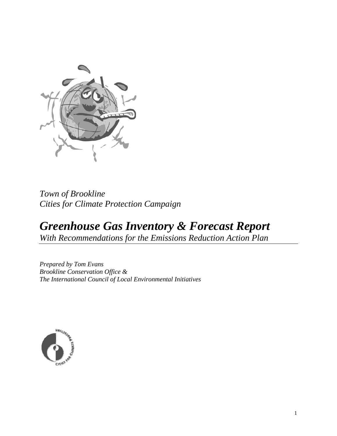

# *Town of Brookline Cities for Climate Protection Campaign*

# *Greenhouse Gas Inventory & Forecast Report With Recommendations for the Emissions Reduction Action Plan*

*Prepared by Tom Evans Brookline Conservation Office & The International Council of Local Environmental Initiatives* 

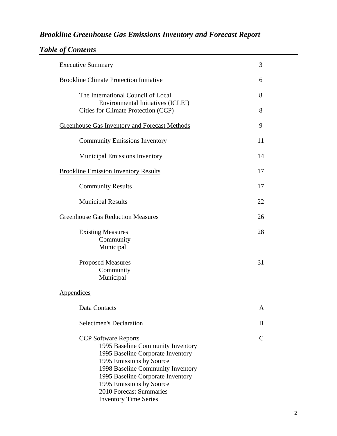# *Brookline Greenhouse Gas Emissions Inventory and Forecast Report*

| <b>Table of Contents</b> |  |  |
|--------------------------|--|--|
|--------------------------|--|--|

| <b>Executive Summary</b>                                                                                                                                                                                                                                                                           | 3  |
|----------------------------------------------------------------------------------------------------------------------------------------------------------------------------------------------------------------------------------------------------------------------------------------------------|----|
| <b>Brookline Climate Protection Initiative</b>                                                                                                                                                                                                                                                     | 6  |
| The International Council of Local<br>Environmental Initiatives (ICLEI)                                                                                                                                                                                                                            | 8  |
| Cities for Climate Protection (CCP)                                                                                                                                                                                                                                                                | 8  |
| Greenhouse Gas Inventory and Forecast Methods                                                                                                                                                                                                                                                      | 9  |
| <b>Community Emissions Inventory</b>                                                                                                                                                                                                                                                               | 11 |
| <b>Municipal Emissions Inventory</b>                                                                                                                                                                                                                                                               | 14 |
| <b>Brookline Emission Inventory Results</b>                                                                                                                                                                                                                                                        | 17 |
| <b>Community Results</b>                                                                                                                                                                                                                                                                           | 17 |
| <b>Municipal Results</b>                                                                                                                                                                                                                                                                           | 22 |
| <b>Greenhouse Gas Reduction Measures</b>                                                                                                                                                                                                                                                           | 26 |
| <b>Existing Measures</b><br>Community<br>Municipal                                                                                                                                                                                                                                                 | 28 |
| <b>Proposed Measures</b><br>Community<br>Municipal                                                                                                                                                                                                                                                 | 31 |
| Appendices                                                                                                                                                                                                                                                                                         |    |
| Data Contacts                                                                                                                                                                                                                                                                                      | A  |
| <b>Selectmen's Declaration</b>                                                                                                                                                                                                                                                                     | B  |
| <b>CCP</b> Software Reports<br>1995 Baseline Community Inventory<br>1995 Baseline Corporate Inventory<br>1995 Emissions by Source<br>1998 Baseline Community Inventory<br>1995 Baseline Corporate Inventory<br>1995 Emissions by Source<br>2010 Forecast Summaries<br><b>Inventory Time Series</b> | €  |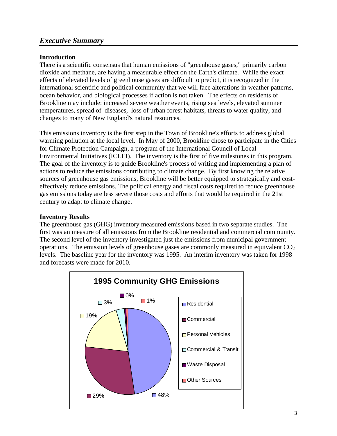# *Executive Summary*

#### **Introduction**

There is a scientific consensus that human emissions of "greenhouse gases," primarily carbon dioxide and methane, are having a measurable effect on the Earth's climate. While the exact effects of elevated levels of greenhouse gases are difficult to predict, it is recognized in the international scientific and political community that we will face alterations in weather patterns, ocean behavior, and biological processes if action is not taken. The effects on residents of Brookline may include: increased severe weather events, rising sea levels, elevated summer temperatures, spread of diseases, loss of urban forest habitats, threats to water quality, and changes to many of New England's natural resources.

This emissions inventory is the first step in the Town of Brookline's efforts to address global warming pollution at the local level. In May of 2000, Brookline chose to participate in the Cities for Climate Protection Campaign, a program of the International Council of Local Environmental Initiatives (ICLEI). The inventory is the first of five milestones in this program. The goal of the inventory is to guide Brookline's process of writing and implementing a plan of actions to reduce the emissions contributing to climate change. By first knowing the relative sources of greenhouse gas emissions, Brookline will be better equipped to strategically and costeffectively reduce emissions. The political energy and fiscal costs required to reduce greenhouse gas emissions today are less severe those costs and efforts that would be required in the 21st century to adapt to climate change.

#### **Inventory Results**

The greenhouse gas (GHG) inventory measured emissions based in two separate studies. The first was an measure of all emissions from the Brookline residential and commercial community. The second level of the inventory investigated just the emissions from municipal government operations. The emission levels of greenhouse gases are commonly measured in equivalent  $CO<sub>2</sub>$ levels. The baseline year for the inventory was 1995. An interim inventory was taken for 1998 and forecasts were made for 2010.

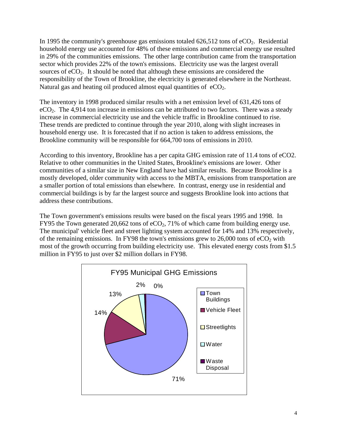In 1995 the community's greenhouse gas emissions totaled  $626,512$  tons of  $eCO<sub>2</sub>$ . Residential household energy use accounted for 48% of these emissions and commercial energy use resulted in 29% of the communities emissions. The other large contribution came from the transportation sector which provides 22% of the town's emissions. Electricity use was the largest overall sources of  $eCO<sub>2</sub>$ . It should be noted that although these emissions are considered the responsibility of the Town of Brookline, the electricity is generated elsewhere in the Northeast. Natural gas and heating oil produced almost equal quantities of  $eCO<sub>2</sub>$ .

The inventory in 1998 produced similar results with a net emission level of 631,426 tons of  $eCO<sub>2</sub>$ . The 4,914 ton increase in emissions can be attributed to two factors. There was a steady increase in commercial electricity use and the vehicle traffic in Brookline continued to rise. These trends are predicted to continue through the year 2010, along with slight increases in household energy use. It is forecasted that if no action is taken to address emissions, the Brookline community will be responsible for 664,700 tons of emissions in 2010.

According to this inventory, Brookline has a per capita GHG emission rate of 11.4 tons of eCO2. Relative to other communities in the United States, Brookline's emissions are lower. Other communities of a similar size in New England have had similar results. Because Brookline is a mostly developed, older community with access to the MBTA, emissions from transportation are a smaller portion of total emissions than elsewhere. In contrast, energy use in residential and commercial buildings is by far the largest source and suggests Brookline look into actions that address these contributions.

The Town government's emissions results were based on the fiscal years 1995 and 1998. In FY95 the Town generated 20,662 tons of  $eCO<sub>2</sub>$ , 71% of which came from building energy use. The municipal' vehicle fleet and street lighting system accounted for 14% and 13% respectively, of the remaining emissions. In FY98 the town's emissions grew to  $26,000$  tons of  $eCO<sub>2</sub>$  with most of the growth occurring from building electricity use. This elevated energy costs from \$1.5 million in FY95 to just over \$2 million dollars in FY98.

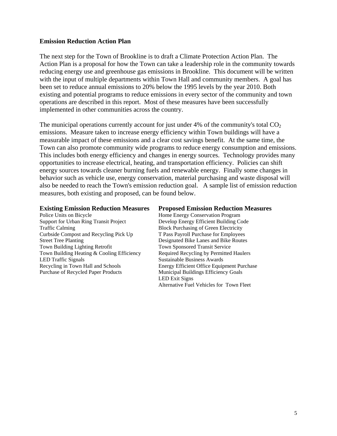#### **Emission Reduction Action Plan**

The next step for the Town of Brookline is to draft a Climate Protection Action Plan. The Action Plan is a proposal for how the Town can take a leadership role in the community towards reducing energy use and greenhouse gas emissions in Brookline. This document will be written with the input of multiple departments within Town Hall and community members. A goal has been set to reduce annual emissions to 20% below the 1995 levels by the year 2010. Both existing and potential programs to reduce emissions in every sector of the community and town operations are described in this report. Most of these measures have been successfully implemented in other communities across the country.

The municipal operations currently account for just under  $4\%$  of the community's total  $CO<sub>2</sub>$ emissions. Measure taken to increase energy efficiency within Town buildings will have a measurable impact of these emissions and a clear cost savings benefit. At the same time, the Town can also promote community wide programs to reduce energy consumption and emissions. This includes both energy efficiency and changes in energy sources. Technology provides many opportunities to increase electrical, heating, and transportation efficiency. Policies can shift energy sources towards cleaner burning fuels and renewable energy. Finally some changes in behavior such as vehicle use, energy conservation, material purchasing and waste disposal will also be needed to reach the Town's emission reduction goal. A sample list of emission reduction measures, both existing and proposed, can be found below.

Police Units on Bicycle Home Energy Conservation Program Support for Urban Ring Transit Project Develop Energy Efficient Building Code Traffic Calming Block Purchasing of Green Electricity Curbside Compost and Recycling Pick Up T Pass Payroll Purchase for Employees Street Tree Planting Designated Bike Lanes and Bike Routes Town Building Lighting Retrofit Town Sponsored Transit Service Town Building Heating & Cooling Efficiency Required Recycling by Permitted Haulers LED Traffic Signals Sustainable Business Awards Recycling in Town Hall and Schools Energy Efficient Office Equipment Purchase Purchase of Recycled Paper Products Municipal Buildings Efficiency Goals

#### **Existing Emission Reduction Measures Proposed Emission Reduction Measures**

 LED Exit Signs Alternative Fuel Vehicles for Town Fleet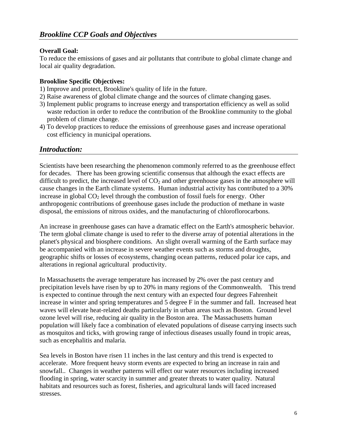#### **Overall Goal:**

To reduce the emissions of gases and air pollutants that contribute to global climate change and local air quality degradation.

#### **Brookline Specific Objectives:**

- 1) Improve and protect, Brookline's quality of life in the future.
- 2) Raise awareness of global climate change and the sources of climate changing gases.
- 3) Implement public programs to increase energy and transportation efficiency as well as solid waste reduction in order to reduce the contribution of the Brookline community to the global problem of climate change.
- 4) To develop practices to reduce the emissions of greenhouse gases and increase operational cost efficiency in municipal operations.

### *Introduction:*

Scientists have been researching the phenomenon commonly referred to as the greenhouse effect for decades. There has been growing scientific consensus that although the exact effects are difficult to predict, the increased level of  $CO<sub>2</sub>$  and other greenhouse gases in the atmosphere will cause changes in the Earth climate systems. Human industrial activity has contributed to a 30% increase in global  $CO<sub>2</sub>$  level through the combustion of fossil fuels for energy. Other anthropogenic contributions of greenhouse gases include the production of methane in waste disposal, the emissions of nitrous oxides, and the manufacturing of chloroflorocarbons.

An increase in greenhouse gases can have a dramatic effect on the Earth's atmospheric behavior. The term global climate change is used to refer to the diverse array of potential alterations in the planet's physical and biosphere conditions. An slight overall warming of the Earth surface may be accompanied with an increase in severe weather events such as storms and droughts, geographic shifts or losses of ecosystems, changing ocean patterns, reduced polar ice caps, and alterations in regional agricultural productivity.

In Massachusetts the average temperature has increased by 2% over the past century and precipitation levels have risen by up to 20% in many regions of the Commonwealth. This trend is expected to continue through the next century with an expected four degrees Fahrenheit increase in winter and spring temperatures and 5 degree F in the summer and fall. Increased heat waves will elevate heat-related deaths particularly in urban areas such as Boston. Ground level ozone level will rise, reducing air quality in the Boston area. The Massachusetts human population will likely face a combination of elevated populations of disease carrying insects such as mosquitos and ticks, with growing range of infectious diseases usually found in tropic areas, such as encephalitis and malaria.

Sea levels in Boston have risen 11 inches in the last century and this trend is expected to accelerate. More frequent heavy storm events are expected to bring an increase in rain and snowfall.. Changes in weather patterns will effect our water resources including increased flooding in spring, water scarcity in summer and greater threats to water quality. Natural habitats and resources such as forest, fisheries, and agricultural lands will faced increased stresses.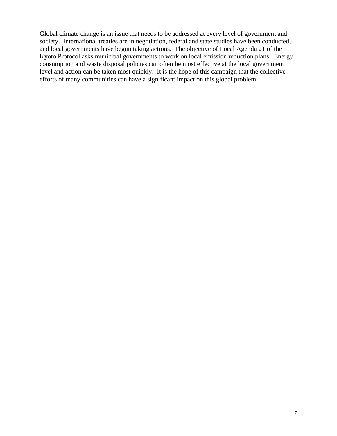Global climate change is an issue that needs to be addressed at every level of government and society. International treaties are in negotiation, federal and state studies have been conducted, and local governments have begun taking actions. The objective of Local Agenda 21 of the Kyoto Protocol asks municipal governments to work on local emission reduction plans. Energy consumption and waste disposal policies can often be most effective at the local government level and action can be taken most quickly. It is the hope of this campaign that the collective efforts of many communities can have a significant impact on this global problem.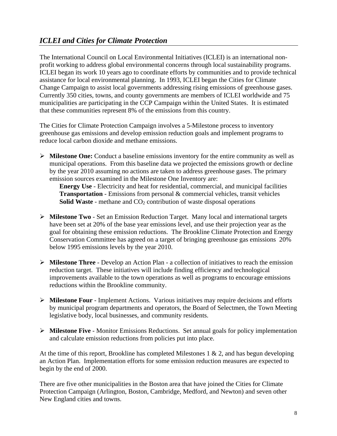# *ICLEI and Cities for Climate Protection*

The International Council on Local Environmental Initiatives (ICLEI) is an international nonprofit working to address global environmental concerns through local sustainability programs. ICLEI began its work 10 years ago to coordinate efforts by communities and to provide technical assistance for local environmental planning. In 1993, ICLEI began the Cities for Climate Change Campaign to assist local governments addressing rising emissions of greenhouse gases. Currently 350 cities, towns, and county governments are members of ICLEI worldwide and 75 municipalities are participating in the CCP Campaign within the United States. It is estimated that these communities represent 8% of the emissions from this country.

The Cities for Climate Protection Campaign involves a 5-Milestone process to inventory greenhouse gas emissions and develop emission reduction goals and implement programs to reduce local carbon dioxide and methane emissions.

¾ **Milestone One:** Conduct a baseline emissions inventory for the entire community as well as municipal operations. From this baseline data we projected the emissions growth or decline by the year 2010 assuming no actions are taken to address greenhouse gases. The primary emission sources examined in the Milestone One Inventory are:

**Energy Use** - Electricity and heat for residential, commercial, and municipal facilities **Transportation** - Emissions from personal & commercial vehicles, transit vehicles **Solid Waste** - methane and  $CO<sub>2</sub>$  contribution of waste disposal operations

- ¾ **Milestone Two** Set an Emission Reduction Target. Many local and international targets have been set at 20% of the base year emissions level, and use their projection year as the goal for obtaining these emission reductions. The Brookline Climate Protection and Energy Conservation Committee has agreed on a target of bringing greenhouse gas emissions 20% below 1995 emissions levels by the year 2010.
- ¾ **Milestone Three** Develop an Action Plan a collection of initiatives to reach the emission reduction target. These initiatives will include finding efficiency and technological improvements available to the town operations as well as programs to encourage emissions reductions within the Brookline community.
- ¾ **Milestone Four** Implement Actions. Various initiatives may require decisions and efforts by municipal program departments and operators, the Board of Selectmen, the Town Meeting legislative body, local businesses, and community residents.
- ¾ **Milestone Five** Monitor Emissions Reductions. Set annual goals for policy implementation and calculate emission reductions from policies put into place.

At the time of this report, Brookline has completed Milestones  $1 \& 2$ , and has begun developing an Action Plan. Implementation efforts for some emission reduction measures are expected to begin by the end of 2000.

There are five other municipalities in the Boston area that have joined the Cities for Climate Protection Campaign (Arlington, Boston, Cambridge, Medford, and Newton) and seven other New England cities and towns.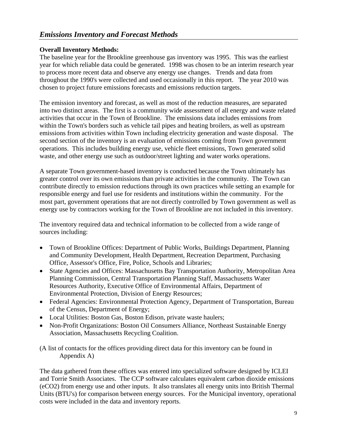#### **Overall Inventory Methods:**

The baseline year for the Brookline greenhouse gas inventory was 1995. This was the earliest year for which reliable data could be generated. 1998 was chosen to be an interim research year to process more recent data and observe any energy use changes. Trends and data from throughout the 1990's were collected and used occasionally in this report. The year 2010 was chosen to project future emissions forecasts and emissions reduction targets.

The emission inventory and forecast, as well as most of the reduction measures, are separated into two distinct areas. The first is a community wide assessment of all energy and waste related activities that occur in the Town of Brookline. The emissions data includes emissions from within the Town's borders such as vehicle tail pipes and heating broilers, as well as upstream emissions from activities within Town including electricity generation and waste disposal. The second section of the inventory is an evaluation of emissions coming from Town government operations. This includes building energy use, vehicle fleet emissions, Town generated solid waste, and other energy use such as outdoor/street lighting and water works operations.

A separate Town government-based inventory is conducted because the Town ultimately has greater control over its own emissions than private activities in the community. The Town can contribute directly to emission reductions through its own practices while setting an example for responsible energy and fuel use for residents and institutions within the community. For the most part, government operations that are not directly controlled by Town government as well as energy use by contractors working for the Town of Brookline are not included in this inventory.

The inventory required data and technical information to be collected from a wide range of sources including:

- Town of Brookline Offices: Department of Public Works, Buildings Department, Planning and Community Development, Health Department, Recreation Department, Purchasing Office, Assessor's Office, Fire, Police, Schools and Libraries;
- State Agencies and Offices: Massachusetts Bay Transportation Authority, Metropolitan Area Planning Commission, Central Transportation Planning Staff, Massachusetts Water Resources Authority, Executive Office of Environmental Affairs, Department of Environmental Protection, Division of Energy Resources;
- Federal Agencies: Environmental Protection Agency, Department of Transportation, Bureau of the Census, Department of Energy;
- Local Utilities: Boston Gas, Boston Edison, private waste haulers;
- Non-Profit Organizations: Boston Oil Consumers Alliance, Northeast Sustainable Energy Association, Massachusetts Recycling Coalition.

(A list of contacts for the offices providing direct data for this inventory can be found in Appendix A)

The data gathered from these offices was entered into specialized software designed by ICLEI and Torrie Smith Associates. The CCP software calculates equivalent carbon dioxide emissions (eCO2) from energy use and other inputs. It also translates all energy units into British Thermal Units (BTU's) for comparison between energy sources. For the Municipal inventory, operational costs were included in the data and inventory reports.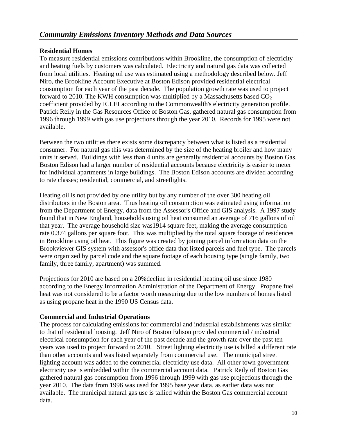#### **Residential Homes**

To measure residential emissions contributions within Brookline, the consumption of electricity and heating fuels by customers was calculated. Electricity and natural gas data was collected from local utilities. Heating oil use was estimated using a methodology described below. Jeff Niro, the Brookline Account Executive at Boston Edison provided residential electrical consumption for each year of the past decade. The population growth rate was used to project forward to 2010. The KWH consumption was multiplied by a Massachusetts based  $CO<sub>2</sub>$ coefficient provided by ICLEI according to the Commonwealth's electricity generation profile. Patrick Reily in the Gas Resources Office of Boston Gas, gathered natural gas consumption from 1996 through 1999 with gas use projections through the year 2010. Records for 1995 were not available.

Between the two utilities there exists some discrepancy between what is listed as a residential consumer. For natural gas this was determined by the size of the heating broiler and how many units it served. Buildings with less than 4 units are generally residential accounts by Boston Gas. Boston Edison had a larger number of residential accounts because electricity is easier to meter for individual apartments in large buildings. The Boston Edison accounts are divided according to rate classes; residential, commercial, and streetlights.

Heating oil is not provided by one utility but by any number of the over 300 heating oil distributors in the Boston area. Thus heating oil consumption was estimated using information from the Department of Energy, data from the Assessor's Office and GIS analysis. A 1997 study found that in New England, households using oil heat consumed an average of 716 gallons of oil that year. The average household size was1914 square feet, making the average consumption rate 0.374 gallons per square foot. This was multiplied by the total square footage of residences in Brookline using oil heat. This figure was created by joining parcel information data on the Brookviewer GIS system with assessor's office data that listed parcels and fuel type. The parcels were organized by parcel code and the square footage of each housing type (single family, two family, three family, apartment) was summed.

Projections for 2010 are based on a 20%decline in residential heating oil use since 1980 according to the Energy Information Administration of the Department of Energy. Propane fuel heat was not considered to be a factor worth measuring due to the low numbers of homes listed as using propane heat in the 1990 US Census data.

#### **Commercial and Industrial Operations**

The process for calculating emissions for commercial and industrial establishments was similar to that of residential housing. Jeff Niro of Boston Edison provided commercial / industrial electrical consumption for each year of the past decade and the growth rate over the past ten years was used to project forward to 2010. Street lighting electricity use is billed a different rate than other accounts and was listed separately from commercial use. The municipal street lighting account was added to the commercial electricity use data. All other town government electricity use is embedded within the commercial account data. Patrick Reily of Boston Gas gathered natural gas consumption from 1996 through 1999 with gas use projections through the year 2010. The data from 1996 was used for 1995 base year data, as earlier data was not available. The municipal natural gas use is tallied within the Boston Gas commercial account data.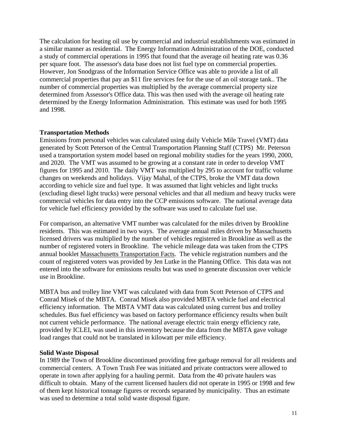The calculation for heating oil use by commercial and industrial establishments was estimated in a similar manner as residential. The Energy Information Administration of the DOE, conducted a study of commercial operations in 1995 that found that the average oil heating rate was 0.36 per square foot. The assessor's data base does not list fuel type on commercial properties. However, Jon Snodgrass of the Information Service Office was able to provide a list of all commercial properties that pay an \$11 fire services fee for the use of an oil storage tank.. The number of commercial properties was multiplied by the average commercial property size determined from Assessor's Office data. This was then used with the average oil heating rate determined by the Energy Information Administration. This estimate was used for both 1995 and 1998.

#### **Transportation Methods**

Emissions from personal vehicles was calculated using daily Vehicle Mile Travel (VMT) data generated by Scott Peterson of the Central Transportation Planning Staff (CTPS) Mr. Peterson used a transportation system model based on regional mobility studies for the years 1990, 2000, and 2020. The VMT was assumed to be growing at a constant rate in order to develop VMT figures for 1995 and 2010. The daily VMT was multiplied by 295 to account for traffic volume changes on weekends and holidays. Vijay Mahal, of the CTPS, broke the VMT data down according to vehicle size and fuel type. It was assumed that light vehicles and light trucks (excluding diesel light trucks) were personal vehicles and that all medium and heavy trucks were commercial vehicles for data entry into the CCP emissions software. The national average data for vehicle fuel efficiency provided by the software was used to calculate fuel use.

For comparison, an alternative VMT number was calculated for the miles driven by Brookline residents. This was estimated in two ways. The average annual miles driven by Massachusetts licensed drivers was multiplied by the number of vehicles registered in Brookline as well as the number of registered voters in Brookline. The vehicle mileage data was taken from the CTPS annual booklet Massachusetts Transportation Facts. The vehicle registration numbers and the count of registered voters was provided by Jen Lutke in the Planning Office. This data was not entered into the software for emissions results but was used to generate discussion over vehicle use in Brookline.

MBTA bus and trolley line VMT was calculated with data from Scott Peterson of CTPS and Conrad Misek of the MBTA. Conrad Misek also provided MBTA vehicle fuel and electrical efficiency information. The MBTA VMT data was calculated using current bus and trolley schedules. Bus fuel efficiency was based on factory performance efficiency results when built not current vehicle performance. The national average electric train energy efficiency rate, provided by ICLEI, was used in this inventory because the data from the MBTA gave voltage load ranges that could not be translated in kilowatt per mile efficiency.

#### **Solid Waste Disposal**

In 1989 the Town of Brookline discontinued providing free garbage removal for all residents and commercial centers. A Town Trash Fee was initiated and private contractors were allowed to operate in town after applying for a hauling permit. Data from the 40 private haulers was difficult to obtain. Many of the current licensed haulers did not operate in 1995 or 1998 and few of them kept historical tonnage figures or records separated by municipality. Thus an estimate was used to determine a total solid waste disposal figure.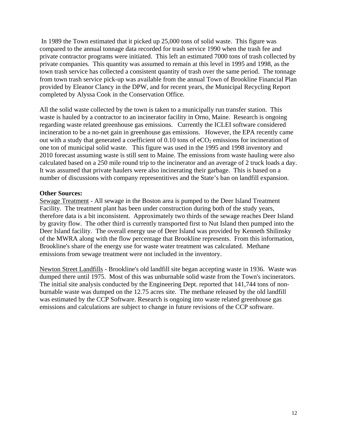In 1989 the Town estimated that it picked up 25,000 tons of solid waste. This figure was compared to the annual tonnage data recorded for trash service 1990 when the trash fee and private contractor programs were initiated. This left an estimated 7000 tons of trash collected by private companies. This quantity was assumed to remain at this level in 1995 and 1998, as the town trash service has collected a consistent quantity of trash over the same period. The tonnage from town trash service pick-up was available from the annual Town of Brookline Financial Plan provided by Eleanor Clancy in the DPW, and for recent years, the Municipal Recycling Report completed by Alyssa Cook in the Conservation Office.

All the solid waste collected by the town is taken to a municipally run transfer station. This waste is hauled by a contractor to an incinerator facility in Orno, Maine. Research is ongoing regarding waste related greenhouse gas emissions. Currently the ICLEI software considered incineration to be a no-net gain in greenhouse gas emissions. However, the EPA recently came out with a study that generated a coefficient of  $0.10$  tons of eCO<sub>2</sub> emissions for incineration of one ton of municipal solid waste. This figure was used in the 1995 and 1998 inventory and 2010 forecast assuming waste is still sent to Maine. The emissions from waste hauling were also calculated based on a 250 mile round trip to the incinerator and an average of 2 truck loads a day. It was assumed that private haulers were also incinerating their garbage. This is based on a number of discussions with company representitives and the State's ban on landfill expansion.

#### **Other Sources:**

Sewage Treatment - All sewage in the Boston area is pumped to the Deer Island Treatment Facility. The treatment plant has been under construction during both of the study years, therefore data is a bit inconsistent. Approximately two thirds of the sewage reaches Deer Island by gravity flow. The other third is currently transported first to Nut Island then pumped into the Deer Island facility. The overall energy use of Deer Island was provided by Kenneth Shilinsky of the MWRA along with the flow percentage that Brookline represents. From this information, Brookline's share of the energy use for waste water treatment was calculated. Methane emissions from sewage treatment were not included in the inventory.

Newton Street Landfills - Brookline's old landfill site began accepting waste in 1936. Waste was dumped there until 1975. Most of this was unburnable solid waste from the Town's incinerators. The initial site analysis conducted by the Engineering Dept. reported that 141,744 tons of nonburnable waste was dumped on the 12.75 acres site. The methane released by the old landfill was estimated by the CCP Software. Research is ongoing into waste related greenhouse gas emissions and calculations are subject to change in future revisions of the CCP software.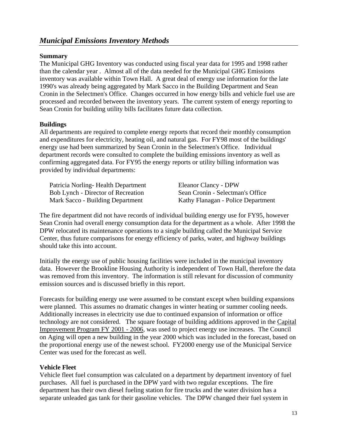# *Municipal Emissions Inventory Methods*

#### **Summary**

The Municipal GHG Inventory was conducted using fiscal year data for 1995 and 1998 rather than the calendar year . Almost all of the data needed for the Municipal GHG Emissions inventory was available within Town Hall. A great deal of energy use information for the late 1990's was already being aggregated by Mark Sacco in the Building Department and Sean Cronin in the Selectmen's Office. Changes occurred in how energy bills and vehicle fuel use are processed and recorded between the inventory years. The current system of energy reporting to Sean Cronin for building utility bills facilitates future data collection.

#### **Buildings**

All departments are required to complete energy reports that record their monthly consumption and expenditures for electricity, heating oil, and natural gas. For FY98 most of the buildings' energy use had been summarized by Sean Cronin in the Selectmen's Office. Individual department records were consulted to complete the building emissions inventory as well as confirming aggregated data. For FY95 the energy reports or utility billing information was provided by individual departments:

Patricia Norling-Health Department Eleanor Clancy - DPW Bob Lynch - Director of Recreation Sean Cronin - Selectman's Office Mark Sacco - Building Department Kathy Flanagan - Police Department

The fire department did not have records of individual building energy use for FY95, however Sean Cronin had overall energy consumption data for the department as a whole. After 1998 the DPW relocated its maintenance operations to a single building called the Municipal Service Center, thus future comparisons for energy efficiency of parks, water, and highway buildings should take this into account.

Initially the energy use of public housing facilities were included in the municipal inventory data. However the Brookline Housing Authority is independent of Town Hall, therefore the data was removed from this inventory. The information is still relevant for discussion of community emission sources and is discussed briefly in this report.

Forecasts for building energy use were assumed to be constant except when building expansions were planned. This assumes no dramatic changes in winter heating or summer cooling needs. Additionally increases in electricity use due to continued expansion of information or office technology are not considered. The square footage of building additions approved in the Capital Improvement Program FY 2001 - 2006, was used to project energy use increases. The Council on Aging will open a new building in the year 2000 which was included in the forecast, based on the proportional energy use of the newest school. FY2000 energy use of the Municipal Service Center was used for the forecast as well.

#### **Vehicle Fleet**

Vehicle fleet fuel consumption was calculated on a department by department inventory of fuel purchases. All fuel is purchased in the DPW yard with two regular exceptions. The fire department has their own diesel fueling station for fire trucks and the water division has a separate unleaded gas tank for their gasoline vehicles. The DPW changed their fuel system in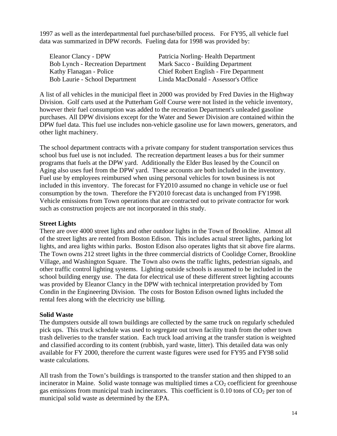1997 as well as the interdepartmental fuel purchase/billed process. For FY95, all vehicle fuel data was summarized in DPW records. Fueling data for 1998 was provided by:

Bob Lynch - Recreation Department Mark Sacco - Building Department

Eleanor Clancy - DPW Patricia Norling- Health Department Kathy Flanagan - Police Chief Robert English - Fire Department Bob Laurie - School Department Linda MacDonald - Assessor's Office

A list of all vehicles in the municipal fleet in 2000 was provided by Fred Davies in the Highway Division. Golf carts used at the Putterham Golf Course were not listed in the vehicle inventory, however their fuel consumption was added to the recreation Department's unleaded gasoline purchases. All DPW divisions except for the Water and Sewer Division are contained within the DPW fuel data. This fuel use includes non-vehicle gasoline use for lawn mowers, generators, and other light machinery.

The school department contracts with a private company for student transportation services thus school bus fuel use is not included. The recreation department leases a bus for their summer programs that fuels at the DPW yard. Additionally the Elder Bus leased by the Council on Aging also uses fuel from the DPW yard. These accounts are both included in the inventory. Fuel use by employees reimbursed when using personal vehicles for town business is not included in this inventory. The forecast for FY2010 assumed no change in vehicle use or fuel consumption by the town. Therefore the FY2010 forecast data is unchanged from FY1998. Vehicle emissions from Town operations that are contracted out to private contractor for work such as construction projects are not incorporated in this study.

#### **Street Lights**

There are over 4000 street lights and other outdoor lights in the Town of Brookline. Almost all of the street lights are rented from Boston Edison. This includes actual street lights, parking lot lights, and area lights within parks. Boston Edison also operates lights that sit above fire alarms. The Town owns 212 street lights in the three commercial districts of Coolidge Corner, Brookline Village, and Washington Square. The Town also owns the traffic lights, pedestrian signals, and other traffic control lighting systems. Lighting outside schools is assumed to be included in the school building energy use. The data for electrical use of these different street lighting accounts was provided by Eleanor Clancy in the DPW with technical interpretation provided by Tom Condin in the Engineering Division. The costs for Boston Edison owned lights included the rental fees along with the electricity use billing.

#### **Solid Waste**

The dumpsters outside all town buildings are collected by the same truck on regularly scheduled pick ups. This truck schedule was used to segregate out town facility trash from the other town trash deliveries to the transfer station. Each truck load arriving at the transfer station is weighted and classified according to its content (rubbish, yard waste, litter). This detailed data was only available for FY 2000, therefore the current waste figures were used for FY95 and FY98 solid waste calculations.

All trash from the Town's buildings is transported to the transfer station and then shipped to an incinerator in Maine. Solid waste tonnage was multiplied times a  $CO<sub>2</sub>$  coefficient for greenhouse gas emissions from municipal trash incinerators. This coefficient is  $0.10$  tons of  $CO<sub>2</sub>$  per ton of municipal solid waste as determined by the EPA.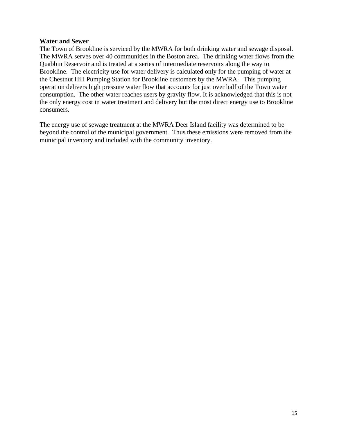#### **Water and Sewer**

The Town of Brookline is serviced by the MWRA for both drinking water and sewage disposal. The MWRA serves over 40 communities in the Boston area. The drinking water flows from the Quabbin Reservoir and is treated at a series of intermediate reservoirs along the way to Brookline. The electricity use for water delivery is calculated only for the pumping of water at the Chestnut Hill Pumping Station for Brookline customers by the MWRA. This pumping operation delivers high pressure water flow that accounts for just over half of the Town water consumption. The other water reaches users by gravity flow. It is acknowledged that this is not the only energy cost in water treatment and delivery but the most direct energy use to Brookline consumers.

The energy use of sewage treatment at the MWRA Deer Island facility was determined to be beyond the control of the municipal government. Thus these emissions were removed from the municipal inventory and included with the community inventory.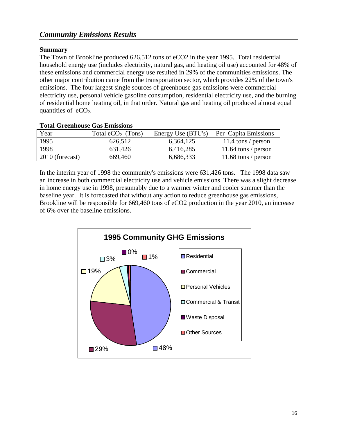#### **Summary**

The Town of Brookline produced 626,512 tons of eCO2 in the year 1995. Total residential household energy use (includes electricity, natural gas, and heating oil use) accounted for 48% of these emissions and commercial energy use resulted in 29% of the communities emissions. The other major contribution came from the transportation sector, which provides 22% of the town's emissions. The four largest single sources of greenhouse gas emissions were commercial electricity use, personal vehicle gasoline consumption, residential electricity use, and the burning of residential home heating oil, in that order. Natural gas and heating oil produced almost equal quantities of  $eCO<sub>2</sub>$ .

| Tom of company and minimized |                     |                    |                      |  |
|------------------------------|---------------------|--------------------|----------------------|--|
| Year                         | Total $eCO2$ (Tons) | Energy Use (BTU's) | Per Capita Emissions |  |
| 1995                         | 626,512             | 6,364,125          | 11.4 tons / person   |  |
| 1998                         | 631,426             | 6,416,285          | 11.64 tons / person  |  |
| 2010 (forecast)              | 669,460             | 6,686,333          | 11.68 tons / person  |  |

#### **Total Greenhouse Gas Emissions**

In the interim year of 1998 the community's emissions were 631,426 tons. The 1998 data saw an increase in both commercial electricity use and vehicle emissions. There was a slight decrease in home energy use in 1998, presumably due to a warmer winter and cooler summer than the baseline year. It is forecasted that without any action to reduce greenhouse gas emissions, Brookline will be responsible for 669,460 tons of eCO2 production in the year 2010, an increase of 6% over the baseline emissions.

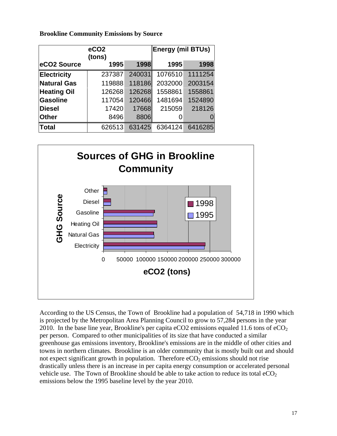|                    | eCO <sub>2</sub><br>(tons) |        | <b>Energy (mil BTUs)</b> |         |
|--------------------|----------------------------|--------|--------------------------|---------|
| eCO2 Source        | 1995                       | 1998   | 1995                     | 1998    |
| <b>Electricity</b> | 237387                     | 240031 | 1076510                  | 1111254 |
| <b>Natural Gas</b> | 119888                     | 118186 | 2032000                  | 2003154 |
| <b>Heating Oil</b> | 126268                     | 126268 | 1558861                  | 1558861 |
| <b>Gasoline</b>    | 117054                     | 120466 | 1481694                  | 1524890 |
| <b>Diesel</b>      | 17420                      | 17668  | 215059                   | 218126  |
| <b>Other</b>       | 8496                       | 8806   |                          |         |
| <b>Total</b>       | 626513                     | 631425 | 6364124                  | 6416285 |

**Brookline Community Emissions by Source** 



According to the US Census, the Town of Brookline had a population of 54,718 in 1990 whic h is projected by the Metropolitan Area Planning Council to grow to 57,284 persons in the year 2010. In the base line year, Brookline's per capita eCO2 emissions equaled 11.6 tons of eCO<sub>2</sub> per person. Compared to other municipalities of its size that have conducted a similar greenhouse gas emissions inventory, Brookline's emissions are in the middle of other cities and towns in northern climates. Brookline is an older community that is mostly built out and should not expect significant growth in population. Therefore  $eCO<sub>2</sub>$  emissions should not rise drastically unless there is an increase in per capita energy consumption or accelerated perso nal vehicle use. The Town of Brookline should be able to take action to reduce its total  $eCO<sub>2</sub>$ emissions below the 1995 baseline level by the year 2010.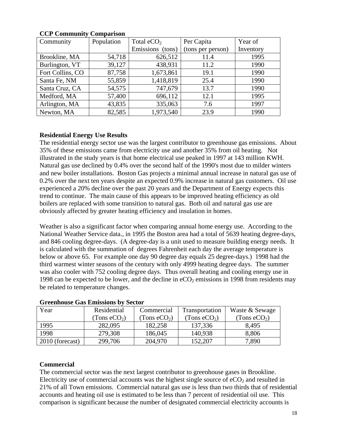| Community        | Population | Total $eCO2$     | Per Capita        | Year of   |
|------------------|------------|------------------|-------------------|-----------|
|                  |            | Emissions (tons) | (tons per person) | Inventory |
| Brookline, MA    | 54,718     | 626,512          | 11.4              | 1995      |
| Burlington, VT   | 39,127     | 438,931          | 11.2              | 1990      |
| Fort Collins, CO | 87,758     | 1,673,861        | 19.1              | 1990      |
| Santa Fe, NM     | 55,859     | 1,418,819        | 25.4              | 1990      |
| Santa Cruz, CA   | 54,575     | 747,679          | 13.7              | 1990      |
| Medford, MA      | 57,400     | 696,112          | 12.1              | 1995      |
| Arlington, MA    | 43,835     | 335,063          | 7.6               | 1997      |
| Newton, MA       | 82,585     | 1,973,540        | 23.9              | 1990      |

#### **CCP Community Comparison**

#### **Residential Energy Use Results**

The residential energy sector use was the largest contributor to greenhouse gas emissions. A bout 35% of these emissions came from electricity use and another 35% from oil heating. Not illustrated in the study years is that home electrical use peaked in 1997 at 143 million KWH. Natural gas use declined by 0.4% over the second half of the 1990's most due to milder winters and new boiler installations. Boston Gas projects a minimal annual increase in natural gas use of 0.2% over the next ten years despite an expected 0.9% increase in natural gas customers. Oil use experienced a 20% decline over the past 20 years and the Department of Energy expects thi s trend to continue. The main cause of this appears to be improved heating efficiency as ol d boilers are replaced with some transition to natural gas. Both oil and natura l gas use are bviously affected by greater heating efficiency and insulation in homes. o

and 846 cooling degree-days. (A degree-day is a unit used to measure building energy needs. It 1998 can be expected to be lower, and the decline in  $eCO<sub>2</sub>$  emissions in 1998 from residents may be related to temperature changes. Weather is also a significant factor when comparing annual home energy use. According to the National Weather Service data., in 1995 the Boston area had a total of 5639 heating degree-days, is calculated with the summation of degrees Fahrenheit each day the average temperature is below or above 65. For example one day 90 degree day equals 25 degree-days.) 1998 had the third warmest winter seasons of the century with only 4999 heating degree days. The summer was also cooler with 752 cooling degree days. Thus overall heating and cooling energy use in

| Year            | Residential    | Commercial     | Transportation | Waste & Sewage |
|-----------------|----------------|----------------|----------------|----------------|
|                 | (Tons $eCO2$ ) | (Tons $eCO2$ ) | (Tons $eCO2$ ) | (Tons $eCO2$ ) |
| 1995            | 282,095        | 182,258        | 137,336        | 8,495          |
| 1998            | 279,308        | 186,045        | 140,938        | 8,806          |
| 2010 (forecast) | 299,706        | 204,970        | 152,207        | 7,890          |

#### **Greenhouse Gas Emissions by Sector**

#### **Commercial**

The commercial sector was the next largest contributor to greenhouse gases in Brookline. Electricity use of commercial accounts was the highest single source of  $eCO<sub>2</sub>$  and resulted in 21% of all Town emissions. Commercial natural gas use is less than two thirds that of residential accounts and heating oil use is estimated to be less than 7 percent of residential oil use. This comparison is significant because the number of designated commercial electricity accounts i s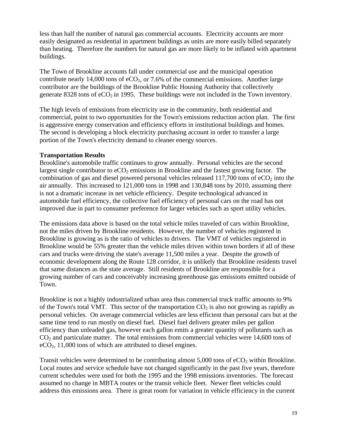less than half the number of natural gas commercial accounts. Electricity accounts are more easily designated as residential in apartment buildings as units are more easily billed separately than heating. Therefore the numbers for natural gas are more likely to be inflated with apartment buildings.

contribute nearly 14,000 tons of  $eCO<sub>2</sub>$ , or 7.6% of the commercial emissions. Another large generate 8328 tons of  $eCO<sub>2</sub>$  in 1995. These buildings were not included in the Town inventory. The Town of Brookline accounts fall under commercial use and the municipal operation contributor are the buildings of the Brookline Public Housing Authority that collectively

commercial, point to two opportunities for the Town's emissions reduction action plan. The first The second is developing a block electricity purchasing account in order to transfer a large portion of the Town's electricity demand to cleaner energy sources. The high levels of emissions from electricity use in the community, both residential and is aggressive energy conservation and efficiency efforts in institutional buildings and homes.

#### **Transportation Results**

improved due in part to consumer preference for larger vehicles such as sport utility vehicles. Brookline's automobile traffic continues to grow annually. Personal vehicles are the second largest single contributor to  $eCO<sub>2</sub>$  emissions in Brookline and the fastest growing factor. The combination of gas and diesel powered personal vehicles released  $117,700$  tons of  $eCO<sub>2</sub>$  into the air annually. This increased to 121,000 tons in 1998 and 130,848 tons by 2010, assuming there is not a dramatic increase in net vehicle efficiency. Despite technological advanced in automobile fuel efficiency, the collective fuel efficiency of personal cars on the road has not

The emissions data above is based on the total vehicle miles traveled of cars within Brookline, Brookline would be 55% greater than the vehicle miles driven within town borders if all of these economic development along the Route 128 corridor, it is unlikely that Brookline residents travel growing number of cars and conceivably increasing greenhouse gas emissions emitted outside of Town. not the miles driven by Brookline residents. However, the number of vehicles registered in Brookline is growing as is the ratio of vehicles to drivers. The VMT of vehicles registered in cars and trucks were driving the state's average 11,500 miles a year. Despite the growth of that same distances as the state average. Still residents of Brookline are responsible for a

personal vehicles. On average commercial vehicles are less efficient than personal cars but at the  $CO<sub>2</sub>$  and particulate matter. The total emissions from commercial vehicles were 14,600 tons of  $eCO<sub>2</sub>$ , 11,000 tons of which are attributed to diesel engines. Brookline is not a highly industrialized urban area thus commercial truck traffic amounts to 9% of the Town's total VMT. This sector of the transportation  $CO<sub>2</sub>$  is also not growing as rapidly as same time tend to run mostly on diesel fuel. Diesel fuel delivers greater miles per gallon efficiency than unleaded gas, however each gallon emits a greater quantity of pollutants such as

current schedules were used for both the 1995 and the 1998 emissions inventories. The forecast Transit vehicles were determined to be contributing almost  $5,000$  tons of  $eCO<sub>2</sub>$  within Brookline. Local routes and service schedule have not changed significantly in the past five years, therefore assumed no change in MBTA routes or the transit vehicle fleet. Newer fleet vehicles could address this emissions area. There is great room for variation in vehicle efficiency in the current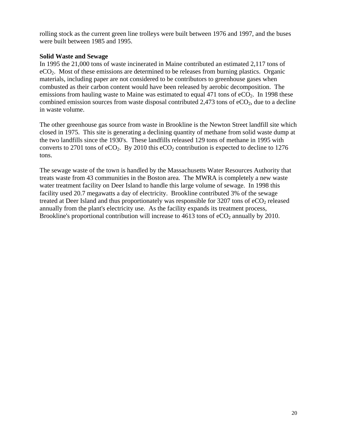rolling stock as the current green line trolleys were built between 1976 and 1997, and the buses were built between 1985 and 1995.

#### **Solid Waste and Sewage**

In 1995 the 21,000 tons of waste incinerated in Maine contributed an estimated 2,117 tons of emissions from hauling waste to Maine was estimated to equal 471 tons of  $eCO<sub>2</sub>$ . In 1998 these combined emission sources from waste disposal contributed 2,473 tons of  $eCO<sub>2</sub>$ , due to a decline eCO2. Most of these emissions are determined to be releases from burning plastics. Organic materials, including paper are not considered to be contributors to greenhouse gases when combusted as their carbon content would have been released by aerobic decomposition. The in waste volume.

The other greenhouse gas source from waste in Brookline is the Newton Street landfill site which closed in 1975. This site is generating a declining quantity of methane from solid waste dump at the two landfills since the 1930's. These landfills released 129 tons of methane in 1995 with converts to 2701 tons of  $eCO<sub>2</sub>$ . By 2010 this  $eCO<sub>2</sub>$  contribution is expected to decline to 1276 tons.

The sewage waste of the town is handled by the Massachusetts Water Resources Authority that treats waste from 43 communities in the Boston area. The MWRA is completely a new waste facility used 20.7 megawatts a day of electricity. Brookline contributed 3% of the sewage treated at Deer Island and thus proportionately was responsible for 3207 tons of eCO<sub>2</sub> released nnually from the plant's electricity use. As the facility expands its treatment process, a Brookline's proportional contribution will increase to  $4613$  tons of  $eCO<sub>2</sub>$  annually by 2010. water treatment facility on Deer Island to handle this large volume of sewage. In 1998 this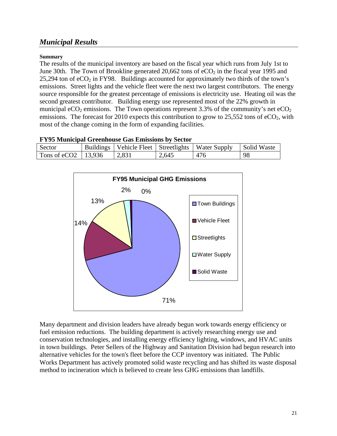# *Municipal Results*

#### **Summary**

The results of the municipal inventory are based on the fiscal year which runs from July 1st to June 30th. The Town of Brookline generated 20,662 tons of  $eCO<sub>2</sub>$  in the fiscal year 1995 and 25,294 ton of  $eCO<sub>2</sub>$  in FY98. Buildings accounted for approximately two thirds of the town's emissions. Street lights and the vehicle fleet were the next two largest contributors. The energy source responsible for the greatest percentage of emissions is electricity use. Heating oil was the second greatest contributor. Building energy use represented most of the 22% growth in municipal eCO<sub>2</sub> emissions. The Town operations represent 3.3% of the community's net eCO<sub>2</sub> emissions. The forecast for 2010 expects this contribution to grow to 25,552 tons of  $eCO<sub>2</sub>$ , with most of the change coming in the form of expanding facilities.

| <b>FY95 Municipal Greenhouse Gas Emissions by Sector</b> |  |                                                         |       |     |             |
|----------------------------------------------------------|--|---------------------------------------------------------|-------|-----|-------------|
| Sector                                                   |  | Buildings   Vehicle Fleet   Streetlights   Water Supply |       |     | Solid Waste |
| Tons of $eCO2$   13,936                                  |  | 2,831                                                   | 2,645 | 476 | -98         |



Many department and division leaders have already begun work towards energy efficiency or fuel emission reductions. The building department is actively researching energy use and conservation technologies, and installing energy efficiency lighting, windows, and HVAC units in town buildings. Peter Sellers of the Highway and Sanitation Division had begun research into alternative vehicles for the town's fleet before the CCP inventory was initiated. The Public Works Department has actively promoted solid waste recycling and has shifted its waste disposal method to incineration which is believed to create less GHG emissions than landfills.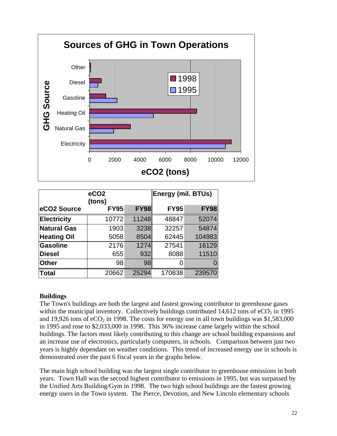

|                    | eCO <sub>2</sub><br>(tons) |             | Energy (mil. BTUs) |             |
|--------------------|----------------------------|-------------|--------------------|-------------|
| eCO2 Source        | <b>FY95</b>                | <b>FY98</b> | <b>FY95</b>        | <b>FY98</b> |
| <b>Electricity</b> | 10772                      | 11248       | 48847              | 52074       |
| <b>Natural Gas</b> | 1903                       | 3238        | 32257              | 54874       |
| <b>Heating Oil</b> | 5058                       | 8504        | 62445              | 104983      |
| <b>Gasoline</b>    | 2176                       | 1274        | 27541              | 16129       |
| <b>Diesel</b>      | 655                        | 932         | 8088               | 11510       |
| <b>Other</b>       | 98                         | 98          |                    | $\Omega$    |
| <b>Total</b>       | 20662                      | 25294       | 170838             | 239570      |

#### **Buildings**

The Town's buildings are both the largest and fastest growing contributor to greenhouse gases within the municipal inventory. Collectively buildings contributed  $14,612$  tons of  $eCO<sub>2</sub>$  in 1995 and 19,926 tons of  $eCO<sub>2</sub>$  in 1998. The costs for energy use in all town buildings was \$1,583,000 in 1995 and rose to \$2,033,000 in 1998. This 36% increase came largely within the school buildings. The factors most likely contributing to this change are school building expansions and an increase use of electronics, particularly computers, in schools. Comparison between just two years is highly dependant on weather conditions. This trend of increased energy use in schools is demonstrated over the past 6 fiscal years in the graphs below.

The main high school building was the largest single contributor to greenhouse emissions in both years. Town Hall was the second highest contributor to emissions in 1995, but was surpassed by the Unified Arts Building/Gym in 1998. The two high school buildings are the fastest growing energy users in the Town system. The Pierce, Devotion, and New Lincoln elementary schools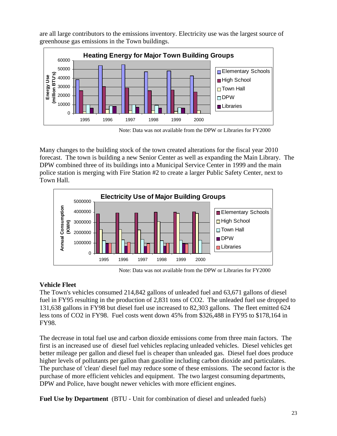are all large contributors to the emissions inventory. Electricity use was the largest source of greenhouse gas emissions in the Town buildings.



Note: Data was not available from the DPW or Libraries for FY2000

Many changes to the building stock of the town created alterations for the fiscal year 2010 forecast. The town is building a new Senior Center as well as expanding the Main Library. The DPW combined three of its buildings into a Municipal Service Center in 1999 and the main police station is merging with Fire Station #2 to create a larger Public Safety Center, next to Town Hall.



Note: Data was not available from the DPW or Libraries for FY2000

### **Vehicle Fleet**

The Town's vehicles consumed 214,842 gallons of unleaded fuel and 63,671 gallons of diesel fuel in FY95 resulting in the production of 2,831 tons of CO2. The unleaded fuel use dropped to 131,638 gallons in FY98 but diesel fuel use increased to 82,303 gallons. The fleet emitted 624 less tons of CO2 in FY98. Fuel costs went down 45% from \$326,488 in FY95 to \$178,164 in FY98.

The decrease in total fuel use and carbon dioxide emissions come from three main factors. The first is an increased use of diesel fuel vehicles replacing unleaded vehicles. Diesel vehicles get better mileage per gallon and diesel fuel is cheaper than unleaded gas. Diesel fuel does produce higher levels of pollutants per gallon than gasoline including carbon dioxide and particulates. The purchase of 'clean' diesel fuel may reduce some of these emissions. The second factor is the purchase of more efficient vehicles and equipment. The two largest consuming departments, DPW and Police, have bought newer vehicles with more efficient engines.

**Fuel Use by Department** (BTU - Unit for combination of diesel and unleaded fuels)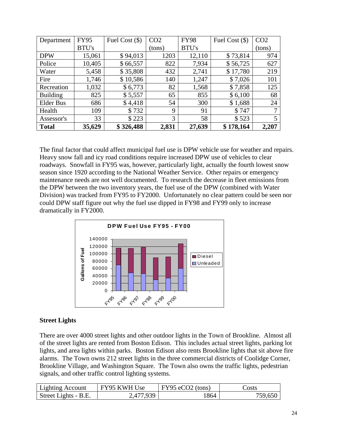| Department       | <b>FY95</b> | Fuel Cost $(\$)$ | CO <sub>2</sub> | <b>FY98</b> | Fuel Cost $(\$)$ | CO <sub>2</sub> |
|------------------|-------------|------------------|-----------------|-------------|------------------|-----------------|
|                  | BTU's       |                  | (tons)          | BTU's       |                  | (tons)          |
| <b>DPW</b>       | 15,061      | \$94,013         | 1203            | 12,110      | \$73,814         | 974             |
| Police           | 10,405      | \$66,557         | 822             | 7,934       | \$56,725         | 627             |
| Water            | 5,458       | \$35,808         | 432             | 2,741       | \$17,780         | 219             |
| Fire             | 1,746       | \$10,586         | 140             | 1,247       | \$7,026          | 101             |
| Recreation       | 1,032       | \$6,773          | 82              | 1,568       | \$7,858          | 125             |
| <b>Building</b>  | 825         | \$5,557          | 65              | 855         | \$6,100          | 68              |
| <b>Elder Bus</b> | 686         | \$4,418          | 54              | 300         | \$1,688          | 24              |
| Health           | 109         | \$732            | 9               | 91          | \$747            | 7               |
| Assessor's       | 33          | \$223            | 3               | 58          | \$523            |                 |
| <b>Total</b>     | 35,629      | \$326,488        | 2,831           | 27,639      | \$178,164        | 2,207           |

The final factor that could affect municipal fuel use is DPW vehicle use for weather and repairs. Heavy snow fall and icy road conditions require increased DPW use of vehicles to clear roadways. Snowfall in FY95 was, however, particularly light, actually the fourth lowest snow season since 1920 according to the National Weather Service. Other repairs or emergency maintenance needs are not well documented. To research the decrease in fleet emissions from the DPW between the two inventory years, the fuel use of the DPW (combined with Water Division) was tracked from FY95 to FY2000. Unfortunately no clear pattern could be seen nor could DPW staff figure out why the fuel use dipped in FY98 and FY99 only to increase dramatically in FY2000.



#### **Street Lights**

There are over 4000 street lights and other outdoor lights in the Town of Brookline. Almost all of the street lights are rented from Boston Edison. This includes actual street lights, parking lot lights, and area lights within parks. Boston Edison also rents Brookline lights that sit above fire alarms. The Town owns 212 street lights in the three commercial districts of Coolidge Corner, Brookline Village, and Washington Square. The Town also owns the traffic lights, pedestrian signals, and other traffic control lighting systems.

| Lighting Account     | FY95 KWH Use | $\vert$ FY95 eCO2 (tons) | Costs   |
|----------------------|--------------|--------------------------|---------|
| Street Lights - B.E. | 2,477,939    | !864                     | 759,650 |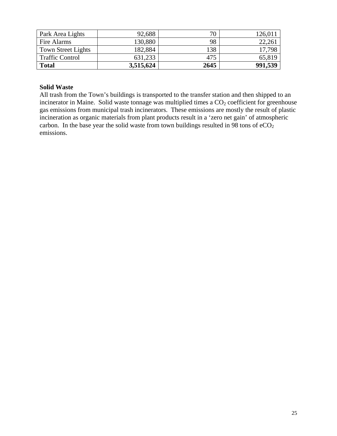| Park Area Lights       | 92,688    | 70   | 126,011 |
|------------------------|-----------|------|---------|
| Fire Alarms            | 130,880   | 98   | 22,261  |
| Town Street Lights     | 182,884   | 138  | 17.798  |
| <b>Traffic Control</b> | 631,233   | 475  | 65,819  |
| <b>Total</b>           | 3,515,624 | 2645 | 991,539 |

#### **Solid Waste**

All trash from the Town's buildings is transported to the transfer station and then shipped to an incinerator in Maine. Solid waste tonnage was multiplied times a CO<sub>2</sub> coefficient for greenhouse gas emissions from municipal trash incinerators. These emissions are mostly the result of plastic incineration as organic materials from plant products result in a 'zero net gain' of atmospheric carbon. In the base year the solid waste from town buildings resulted in 98 tons of  $eCO<sub>2</sub>$ emissions.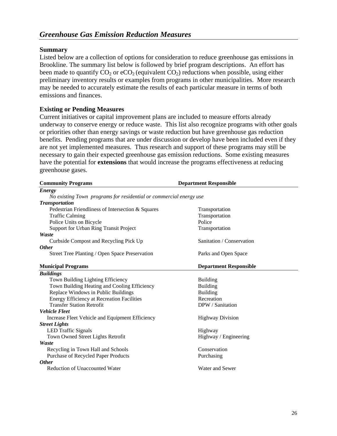#### **Summary**

Listed below are a collection of options for consideration to reduce greenhouse gas emissions in Brookline. The summary list below is followed by brief program descriptions. An effort has been made to quantify  $CO_2$  or  $eCO_2$  (equivalent  $CO_2$ ) reductions when possible, using either preliminary inventory results or examples from programs in other municipalities. More research may be needed to accurately estimate the results of each particular measure in terms of both emissions and finances.

#### **Existing or Pending Measures**

Current initiatives or capital improvement plans are included to measure efforts already underway to conserve energy or reduce waste. This list also recognize programs with other goals or priorities other than energy savings or waste reduction but have greenhouse gas reduction benefits. Pending programs that are under discussion or develop have been included even if they are not yet implemented measures. Thus research and support of these programs may still be necessary to gain their expected greenhouse gas emission reductions. Some existing measures have the potential for **extensions** that would increase the programs effectiveness at reducing greenhouse gases.

| <b>Community Programs</b>                                          | <b>Department Responsible</b> |
|--------------------------------------------------------------------|-------------------------------|
| <b>Energy</b>                                                      |                               |
| No existing Town programs for residential or commercial energy use |                               |
| <b>Transportation</b>                                              |                               |
| Pedestrian Friendliness of Intersection & Squares                  | Transportation                |
| <b>Traffic Calming</b>                                             | Transportation                |
| Police Units on Bicycle                                            | Police                        |
| Support for Urban Ring Transit Project                             | Transportation                |
| Waste                                                              |                               |
| Curbside Compost and Recycling Pick Up                             | Sanitation / Conservation     |
| <b>Other</b>                                                       |                               |
| Street Tree Planting / Open Space Preservation                     | Parks and Open Space          |
| <b>Municipal Programs</b>                                          | <b>Department Responsible</b> |
| <b>Buildings</b>                                                   |                               |
| Town Building Lighting Efficiency                                  | <b>Building</b>               |
| Town Building Heating and Cooling Efficiency                       | <b>Building</b>               |
| Replace Windows in Public Buildings                                | <b>Building</b>               |
| Energy Efficiency at Recreation Facilities                         | Recreation                    |
| <b>Transfer Station Retrofit</b>                                   | DPW / Sanitation              |
| <b>Vehicle Fleet</b>                                               |                               |
| Increase Fleet Vehicle and Equipment Efficiency                    | <b>Highway Division</b>       |
| <b>Street Lights</b>                                               |                               |
| <b>LED</b> Traffic Signals                                         | Highway                       |
| Town Owned Street Lights Retrofit                                  | Highway / Engineering         |
| Waste                                                              |                               |
| Recycling in Town Hall and Schools                                 | Conservation                  |
| Purchase of Recycled Paper Products                                | Purchasing                    |
| <b>Other</b>                                                       |                               |
| <b>Reduction of Unaccounted Water</b>                              | Water and Sewer               |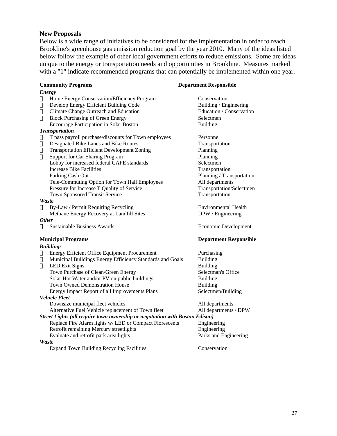#### **New Proposals**

Below is a wide range of initiatives to be considered for the implementation in order to reach Brookline's greenhouse gas emission reduction goal by the year 2010. Many of the ideas listed below follow the example of other local government efforts to reduce emissions. Some are ideas unique to the energy or transportation needs and opportunities in Brookline. Measures marked with a "1" indicate recommended programs that can potentially be implemented within one year.

| <b>Community Programs</b>                                                    |                                                           | <b>Department Responsible</b> |  |  |  |  |  |
|------------------------------------------------------------------------------|-----------------------------------------------------------|-------------------------------|--|--|--|--|--|
| <b>Energy</b>                                                                |                                                           |                               |  |  |  |  |  |
| ▯                                                                            | Home Energy Conservation/Efficiency Program               | Conservation                  |  |  |  |  |  |
| О                                                                            | Develop Energy Efficient Building Code                    | Building / Engineering        |  |  |  |  |  |
| ▯                                                                            | Climate Change Outreach and Education                     | Education / Conservation      |  |  |  |  |  |
| $\Box$                                                                       | <b>Block Purchasing of Green Energy</b>                   | Selectmen                     |  |  |  |  |  |
|                                                                              | <b>Encourage Participation in Solar Boston</b>            | <b>Building</b>               |  |  |  |  |  |
|                                                                              | <b>Transportation</b>                                     |                               |  |  |  |  |  |
| ▯<br>П<br>П                                                                  | T pass payroll purchase/discounts for Town employees      | Personnel                     |  |  |  |  |  |
|                                                                              | Designated Bike Lanes and Bike Routes                     | Transportation                |  |  |  |  |  |
|                                                                              | <b>Transportation Efficient Development Zoning</b>        | Planning                      |  |  |  |  |  |
| П                                                                            | <b>Support for Car Sharing Program</b>                    | Planning                      |  |  |  |  |  |
|                                                                              | Lobby for increased federal CAFE standards                | Selectmen                     |  |  |  |  |  |
|                                                                              | Increase Bike Facilities                                  | Transportation                |  |  |  |  |  |
|                                                                              | Parking Cash Out                                          | Planning / Transportation     |  |  |  |  |  |
|                                                                              | Tele-Commuting Option for Town Hall Employees             | All departments               |  |  |  |  |  |
|                                                                              | Pressure for Increase T Quality of Service                | Transportation/Selectmen      |  |  |  |  |  |
|                                                                              | Town Sponsored Transit Service                            | Transportation                |  |  |  |  |  |
|                                                                              | Waste                                                     |                               |  |  |  |  |  |
| П                                                                            | By-Law / Permit Requiring Recycling                       | Environmental Health          |  |  |  |  |  |
|                                                                              | Methane Energy Recovery at Landfill Sites                 | DPW / Engineering             |  |  |  |  |  |
|                                                                              | <b>Other</b>                                              |                               |  |  |  |  |  |
| П                                                                            | <b>Sustainable Business Awards</b>                        | Economic Development          |  |  |  |  |  |
|                                                                              |                                                           |                               |  |  |  |  |  |
| <b>Municipal Programs</b>                                                    |                                                           | <b>Department Responsible</b> |  |  |  |  |  |
| <b>Buildings</b>                                                             |                                                           |                               |  |  |  |  |  |
| П                                                                            | Energy Efficient Office Equipment Procurement             | Purchasing                    |  |  |  |  |  |
| $\Box$                                                                       | Municipal Buildings Energy Efficiency Standards and Goals | Building                      |  |  |  |  |  |
| П                                                                            | <b>LED</b> Exit Signs                                     | <b>Building</b>               |  |  |  |  |  |
|                                                                              | Town Purchase of Clean/Green Energy                       | Selectman's Office            |  |  |  |  |  |
|                                                                              | Solar Hot Water and/or PV on public buildings             | Building                      |  |  |  |  |  |
|                                                                              | <b>Town Owned Demonstration House</b>                     | <b>Building</b>               |  |  |  |  |  |
|                                                                              | Energy Impact Report of all Improvements Plans            | Selectmen/Building            |  |  |  |  |  |
| <b>Vehicle Fleet</b>                                                         |                                                           |                               |  |  |  |  |  |
|                                                                              | Downsize municipal fleet vehicles                         | All departments               |  |  |  |  |  |
|                                                                              | Alternative Fuel Vehicle replacement of Town fleet        | All departments / DPW         |  |  |  |  |  |
| Street Lights (all require town ownership or negotiation with Boston Edison) |                                                           |                               |  |  |  |  |  |
|                                                                              | Replace Fire Alarm lights w/ LED or Compact Florescents   | Engineering                   |  |  |  |  |  |
|                                                                              | Retrofit remaining Mercury streetlights                   | Engineering                   |  |  |  |  |  |
|                                                                              | Evaluate and retrofit park area lights                    | Parks and Engineering         |  |  |  |  |  |
| Waste                                                                        |                                                           |                               |  |  |  |  |  |
|                                                                              | <b>Expand Town Building Recycling Facilities</b>          | Conservation                  |  |  |  |  |  |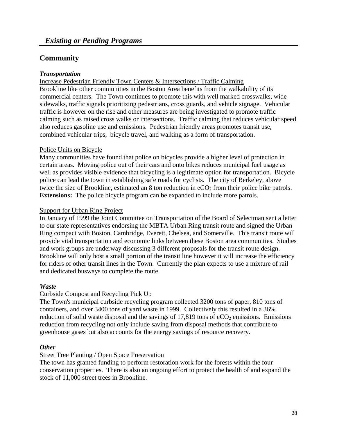# **Community**

#### *Transportation*

Increase Pedestrian Friendly Town Centers & Intersections / Traffic Calming Brookline like other communities in the Boston Area benefits from the walkability of its commercial centers. The Town continues to promote this with well marked crosswalks, wide sidewalks, traffic signals prioritizing pedestrians, cross guards, and vehicle signage. Vehicular traffic is however on the rise and other measures are being investigated to promote traffic calming such as raised cross walks or intersections. Traffic calming that reduces vehicular speed also reduces gasoline use and emissions. Pedestrian friendly areas promotes transit use, combined vehicular trips, bicycle travel, and walking as a form of transportation.

#### Police Units on Bicycle

Many communities have found that police on bicycles provide a higher level of protection in certain areas. Moving police out of their cars and onto bikes reduces municipal fuel usage as well as provides visible evidence that bicycling is a legitimate option for transportation. Bicycle police can lead the town in establishing safe roads for cyclists. The city of Berkeley, above twice the size of Brookline, estimated an 8 ton reduction in  $eCO<sub>2</sub>$  from their police bike patrols. **Extensions:** The police bicycle program can be expanded to include more patrols.

#### Support for Urban Ring Project

In January of 1999 the Joint Committee on Transportation of the Board of Selectman sent a letter to our state representatives endorsing the MBTA Urban Ring transit route and signed the Urban Ring compact with Boston, Cambridge, Everett, Chelsea, and Somerville. This transit route will provide vital transportation and economic links between these Boston area communities. Studies and work groups are underway discussing 3 different proposals for the transit route design. Brookline will only host a small portion of the transit line however it will increase the efficiency for riders of other transit lines in the Town. Currently the plan expects to use a mixture of rail and dedicated busways to complete the route.

#### *Waste*

### Curbside Compost and Recycling Pick Up

The Town's municipal curbside recycling program collected 3200 tons of paper, 810 tons of containers, and over 3400 tons of yard waste in 1999. Collectively this resulted in a 36% reduction of solid waste disposal and the savings of  $17,819$  tons of  $eCO<sub>2</sub>$  emissions. Emissions reduction from recycling not only include saving from disposal methods that contribute to greenhouse gases but also accounts for the energy savings of resource recovery.

#### *Other*

#### Street Tree Planting / Open Space Preservation

The town has granted funding to perform restoration work for the forests within the four conservation properties. There is also an ongoing effort to protect the health of and expand the stock of 11,000 street trees in Brookline.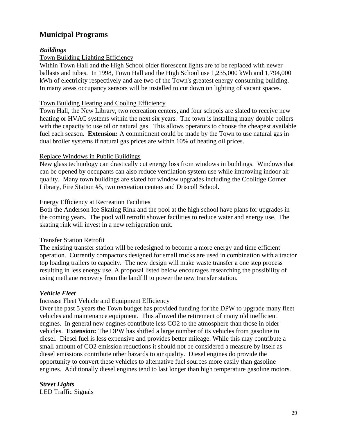# **Municipal Programs**

#### *Buildings*

#### Town Building Lighting Efficiency

Within Town Hall and the High School older florescent lights are to be replaced with newer ballasts and tubes. In 1998, Town Hall and the High School use 1,235,000 kWh and 1,794,000 kWh of electricity respectively and are two of the Town's greatest energy consuming building. In many areas occupancy sensors will be installed to cut down on lighting of vacant spaces.

#### Town Building Heating and Cooling Efficiency

Town Hall, the New Library, two recreation centers, and four schools are slated to receive new heating or HVAC systems within the next six years. The town is installing many double boilers with the capacity to use oil or natural gas. This allows operators to choose the cheapest available fuel each season. **Extension:** A commitment could be made by the Town to use natural gas in dual broiler systems if natural gas prices are within 10% of heating oil prices.

#### Replace Windows in Public Buildings

New glass technology can drastically cut energy loss from windows in buildings. Windows that can be opened by occupants can also reduce ventilation system use while improving indoor air quality. Many town buildings are slated for window upgrades including the Coolidge Corner Library, Fire Station #5, two recreation centers and Driscoll School.

#### Energy Efficiency at Recreation Facilities

Both the Anderson Ice Skating Rink and the pool at the high school have plans for upgrades in the coming years. The pool will retrofit shower facilities to reduce water and energy use. The skating rink will invest in a new refrigeration unit.

#### Transfer Station Retrofit

The existing transfer station will be redesigned to become a more energy and time efficient operation. Currently compactors designed for small trucks are used in combination with a tractor top loading trailers to capacity. The new design will make waste transfer a one step process resulting in less energy use. A proposal listed below encourages researching the possibility of using methane recovery from the landfill to power the new transfer station.

#### *Vehicle Fleet*

#### Increase Fleet Vehicle and Equipment Efficiency

Over the past 5 years the Town budget has provided funding for the DPW to upgrade many fleet vehicles and maintenance equipment. This allowed the retirement of many old inefficient engines. In general new engines contribute less CO2 to the atmosphere than those in older vehicles. **Extension:** The DPW has shifted a large number of its vehicles from gasoline to diesel. Diesel fuel is less expensive and provides better mileage. While this may contribute a small amount of CO2 emission reductions it should not be considered a measure by itself as diesel emissions contribute other hazards to air quality. Diesel engines do provide the opportunity to convert these vehicles to alternative fuel sources more easily than gasoline engines. Additionally diesel engines tend to last longer than high temperature gasoline motors.

*Street Lights*  LED Traffic Signals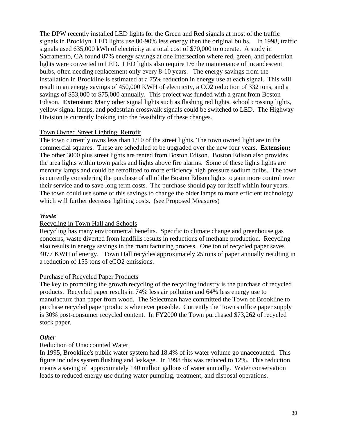The DPW recently installed LED lights for the Green and Red signals at most of the traffic signals in Brooklyn. LED lights use 80-90% less energy then the original bulbs. In 1998, traffic signals used 635,000 kWh of electricity at a total cost of \$70,000 to operate. A study in Sacramento, CA found 87% energy savings at one intersection where red, green, and pedestrian lights were converted to LED. LED lights also require 1/6 the maintenance of incandescent bulbs, often needing replacement only every 8-10 years. The energy savings from the installation in Brookline is estimated at a 75% reduction in energy use at each signal. This will result in an energy savings of 450,000 KWH of electricity, a CO2 reduction of 332 tons, and a savings of \$53,000 to \$75,000 annually. This project was funded with a grant from Boston Edison. **Extension:** Many other signal lights such as flashing red lights, school crossing lights, yellow signal lamps, and pedestrian crosswalk signals could be switched to LED. The Highway Division is currently looking into the feasibility of these changes.

#### Town Owned Street Lighting Retrofit

The town currently owns less than 1/10 of the street lights. The town owned light are in the commercial squares. These are scheduled to be upgraded over the new four years. **Extension:** The other 3000 plus street lights are rented from Boston Edison. Boston Edison also provides the area lights within town parks and lights above fire alarms. Some of these lights lights are mercury lamps and could be retrofitted to more efficiency high pressure sodium bulbs. The town is currently considering the purchase of all of the Boston Edison lights to gain more control over their service and to save long term costs. The purchase should pay for itself within four years. The town could use some of this savings to change the older lamps to more efficient technology which will further decrease lighting costs. (see Proposed Measures)

#### *Waste*

#### Recycling in Town Hall and Schools

Recycling has many environmental benefits. Specific to climate change and greenhouse gas concerns, waste diverted from landfills results in reductions of methane production. Recycling also results in energy savings in the manufacturing process. One ton of recycled paper saves 4077 KWH of energy. Town Hall recycles approximately 25 tons of paper annually resulting in a reduction of 155 tons of eCO2 emissions.

#### Purchase of Recycled Paper Products

The key to promoting the growth recycling of the recycling industry is the purchase of recycled products. Recycled paper results in 74% less air pollution and 64% less energy use to manufacture than paper from wood. The Selectman have committed the Town of Brookline to purchase recycled paper products whenever possible. Currently the Town's office paper supply is 30% post-consumer recycled content. In FY2000 the Town purchased \$73,262 of recycled stock paper.

#### *Other*

#### Reduction of Unaccounted Water

In 1995, Brookline's public water system had 18.4% of its water volume go unaccounted. This figure includes system flushing and leakage. In 1998 this was reduced to 12%. This reduction means a saving of approximately 140 million gallons of water annually. Water conservation leads to reduced energy use during water pumping, treatment, and disposal operations.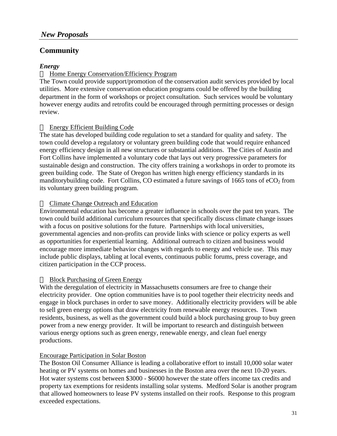# **Community**

#### *Energy*

#### □ Home Energy Conservation/Efficiency Program

The Town could provide support/promotion of the conservation audit services provided by local utilities. More extensive conservation education programs could be offered by the building department in the form of workshops or project consultation. Such services would be voluntary however energy audits and retrofits could be encouraged through permitting processes or design review.

#### Energy Efficient Building Code

The state has developed building code regulation to set a standard for quality and safety. The town could develop a regulatory or voluntary green building code that would require enhanced energy efficiency design in all new structures or substantial additions. The Cities of Austin and Fort Collins have implemented a voluntary code that lays out very progressive parameters for sustainable design and construction. The city offers training a workshops in order to promote its green building code. The State of Oregon has written high energy efficiency standards in its manditory building code. Fort Collins, CO estimated a future savings of 1665 tons of  $eCO<sub>2</sub>$  from its voluntary green building program.

#### □ Climate Change Outreach and Education

Environmental education has become a greater influence in schools over the past ten years. The town could build additional curriculum resources that specifically discuss climate change issues with a focus on positive solutions for the future. Partnerships with local universities, governmental agencies and non-profits can provide links with science or policy experts as well as opportunities for experiential learning. Additional outreach to citizen and business would encourage more immediate behavior changes with regards to energy and vehicle use. This may include public displays, tabling at local events, continuous public forums, press coverage, and citizen participation in the CCP process.

#### $\Box$  Block Purchasing of Green Energy

With the deregulation of electricity in Massachusetts consumers are free to change their electricity provider. One option communities have is to pool together their electricity needs and engage in block purchases in order to save money. Additionally electricity providers will be able to sell green energy options that draw electricity from renewable energy resources. Town residents, business, as well as the government could build a block purchasing group to buy green power from a new energy provider. It will be important to research and distinguish between various energy options such as green energy, renewable energy, and clean fuel energy productions.

#### Encourage Participation in Solar Boston

The Boston Oil Consumer Alliance is leading a collaborative effort to install 10,000 solar water heating or PV systems on homes and businesses in the Boston area over the next 10-20 years. Hot water systems cost between \$3000 - \$6000 however the state offers income tax credits and property tax exemptions for residents installing solar systems. Medford Solar is another program that allowed homeowners to lease PV systems installed on their roofs. Response to this program exceeded expectations.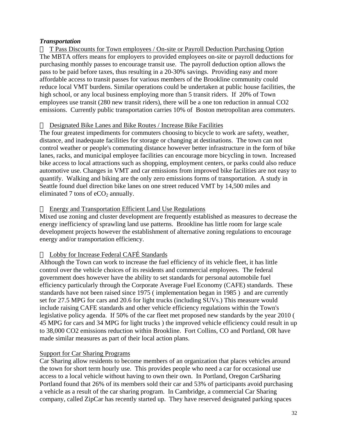#### *Transportation*

 $\Box$  T Pass Discounts for Town employees / On-site or Payroll Deduction Purchasing Option The MBTA offers means for employers to provided employees on-site or payroll deductions for purchasing monthly passes to encourage transit use. The payroll deduction option allows the pass to be paid before taxes, thus resulting in a 20-30% savings. Providing easy and more affordable access to transit passes for various members of the Brookline community could reduce local VMT burdens. Similar operations could be undertaken at public house facilities, the high school, or any local business employing more than 5 transit riders. If 20% of Town employees use transit (280 new transit riders), there will be a one ton reduction in annual CO2 emissions. Currently public transportation carries 10% of Boston metropolitan area commuters.

#### Designated Bike Lanes and Bike Routes / Increase Bike Facilities

The four greatest impediments for commuters choosing to bicycle to work are safety, weather, distance, and inadequate facilities for storage or changing at destinations. The town can not control weather or people's commuting distance however better infrastructure in the form of bike lanes, racks, and municipal employee facilities can encourage more bicycling in town. Increased bike access to local attractions such as shopping, employment centers, or parks could also reduce automotive use. Changes in VMT and car emissions from improved bike facilities are not easy to quantify. Walking and biking are the only zero emissions forms of transportation. A study in Seattle found duel direction bike lanes on one street reduced VMT by 14,500 miles and eliminated 7 tons of  $eCO<sub>2</sub>$  annually.

#### $\Box$  Energy and Transportation Efficient Land Use Regulations

Mixed use zoning and cluster development are frequently established as measures to decrease the energy inefficiency of sprawling land use patterns. Brookline has little room for large scale development projects however the establishment of alternative zoning regulations to encourage energy and/or transportation efficiency.

#### Lobby for Increase Federal CAFÉ Standards

Although the Town can work to increase the fuel efficiency of its vehicle fleet, it has little control over the vehicle choices of its residents and commercial employees. The federal government does however have the ability to set standards for personal automobile fuel efficiency particularly through the Corporate Average Fuel Economy (CAFE) standards. These standards have not been raised since 1975 ( implementation began in 1985 ) and are currently set for 27.5 MPG for cars and 20.6 for light trucks (including SUVs.) This measure would include raising CAFE standards and other vehicle efficiency regulations within the Town's legislative policy agenda. If 50% of the car fleet met proposed new standards by the year 2010 ( 45 MPG for cars and 34 MPG for light trucks ) the improved vehicle efficiency could result in up to 38,000 CO2 emissions reduction within Brookline. Fort Collins, CO and Portland, OR have made similar measures as part of their local action plans.

#### Support for Car Sharing Programs

Car Sharing allow residents to become members of an organization that places vehicles around the town for short term hourly use. This provides people who need a car for occasional use access to a local vehicle without having to own their own. In Portland, Oregon CarSharing Portland found that 26% of its members sold their car and 53% of participants avoid purchasing a vehicle as a result of the car sharing program. In Cambridge, a commercial Car Sharing company, called ZipCar has recently started up. They have reserved designated parking spaces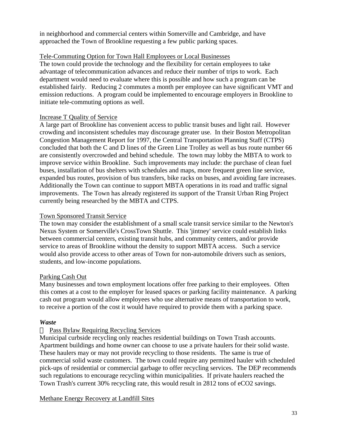in neighborhood and commercial centers within Somerville and Cambridge, and have approached the Town of Brookline requesting a few public parking spaces.

#### Tele-Commuting Option for Town Hall Employees or Local Businesses

The town could provide the technology and the flexibility for certain employees to take advantage of telecommunication advances and reduce their number of trips to work. Each department would need to evaluate where this is possible and how such a program can be established fairly. Reducing 2 commutes a month per employee can have significant VMT and emission reductions. A program could be implemented to encourage employers in Brookline to initiate tele-commuting options as well.

### Increase T Quality of Service

A large part of Brookline has convenient access to public transit buses and light rail. However crowding and inconsistent schedules may discourage greater use. In their Boston Metropolitan Congestion Management Report for 1997, the Central Transportation Planning Staff (CTPS) concluded that both the C and D lines of the Green Line Trolley as well as bus route number 66 are consistently overcrowded and behind schedule. The town may lobby the MBTA to work to improve service within Brookline. Such improvements may include: the purchase of clean fuel buses, installation of bus shelters with schedules and maps, more frequent green line service, expanded bus routes, provision of bus transfers, bike racks on buses, and avoiding fare increases. Additionally the Town can continue to support MBTA operations in its road and traffic signal improvements. The Town has already registered its support of the Transit Urban Ring Project currently being researched by the MBTA and CTPS.

#### Town Sponsored Transit Service

The town may consider the establishment of a small scale transit service similar to the Newton's Nexus System or Somerville's CrossTown Shuttle. This 'jintney' service could establish links between commercial centers, existing transit hubs, and community centers, and/or provide service to areas of Brookline without the density to support MBTA access. Such a service would also provide access to other areas of Town for non-automobile drivers such as seniors, students, and low-income populations.

#### Parking Cash Out

Many businesses and town employment locations offer free parking to their employees. Often this comes at a cost to the employer for leased spaces or parking facility maintenance. A parking cash out program would allow employees who use alternative means of transportation to work, to receive a portion of the cost it would have required to provide them with a parking space.

#### *Waste*

### $\Box$  Pass Bylaw Requiring Recycling Services

Municipal curbside recycling only reaches residential buildings on Town Trash accounts. Apartment buildings and home owner can choose to use a private haulers for their solid waste. These haulers may or may not provide recycling to those residents. The same is true of commercial solid waste customers. The town could require any permitted hauler with scheduled pick-ups of residential or commercial garbage to offer recycling services. The DEP recommends such regulations to encourage recycling within municipalities. If private haulers reached the Town Trash's current 30% recycling rate, this would result in 2812 tons of eCO2 savings.

Methane Energy Recovery at Landfill Sites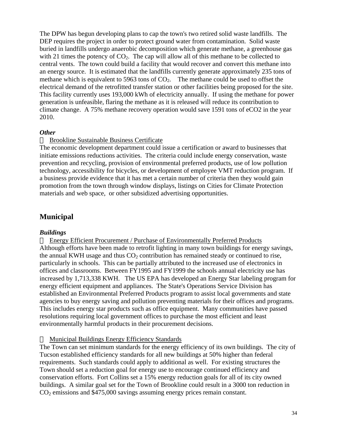The DPW has begun developing plans to cap the town's two retired solid waste landfills. The DEP requires the project in order to protect ground water from contamination. Solid waste buried in landfills undergo anaerobic decomposition which generate methane, a greenhouse gas with 21 times the potency of  $CO<sub>2</sub>$ . The cap will allow all of this methane to be collected to central vents. The town could build a facility that would recover and convert this methane into an energy source. It is estimated that the landfills currently generate approximately 235 tons of methane which is equivalent to 5963 tons of  $CO<sub>2</sub>$ . The methane could be used to offset the electrical demand of the retrofitted transfer station or other facilities being proposed for the site. This facility currently uses 193,000 kWh of electricity annually. If using the methane for power generation is unfeasible, flaring the methane as it is released will reduce its contribution to climate change. A 75% methane recovery operation would save 1591 tons of eCO2 in the year 2010.

#### *Other*

#### $\Box$  Brookline Sustainable Business Certificate

The economic development department could issue a certification or award to businesses that initiate emissions reductions activities. The criteria could include energy conservation, waste prevention and recycling, provision of environmental preferred products, use of low pollution technology, accessibility for bicycles, or development of employee VMT reduction program. If a business provide evidence that it has met a certain number of criteria then they would gain promotion from the town through window displays, listings on Cities for Climate Protection materials and web space, or other subsidized advertising opportunities.

# **Municipal**

#### *Buildings*

 Energy Efficient Procurement / Purchase of Environmentally Preferred Products Although efforts have been made to retrofit lighting in many town buildings for energy savings, the annual KWH usage and thus  $CO<sub>2</sub>$  contribution has remained steady or continued to rise, particularly in schools. This can be partially attributed to the increased use of electronics in offices and classrooms. Between FY1995 and FY1999 the schools annual electricity use has increased by 1,713,338 KWH. The US EPA has developed an Energy Star labeling program for energy efficient equipment and appliances. The State's Operations Service Division has established an Environmental Preferred Products program to assist local governments and state agencies to buy energy saving and pollution preventing materials for their offices and programs. This includes energy star products such as office equipment. Many communities have passed resolutions requiring local government offices to purchase the most efficient and least environmentally harmful products in their procurement decisions.

#### $\Box$  Municipal Buildings Energy Efficiency Standards

The Town can set minimum standards for the energy efficiency of its own buildings. The city of Tucson established efficiency standards for all new buildings at 50% higher than federal requirements. Such standards could apply to additional as well. For existing structures the Town should set a reduction goal for energy use to encourage continued efficiency and conservation efforts. Fort Collins set a 15% energy reduction goals for all of its city owned buildings. A similar goal set for the Town of Brookline could result in a 3000 ton reduction in CO2 emissions and \$475,000 savings assuming energy prices remain constant.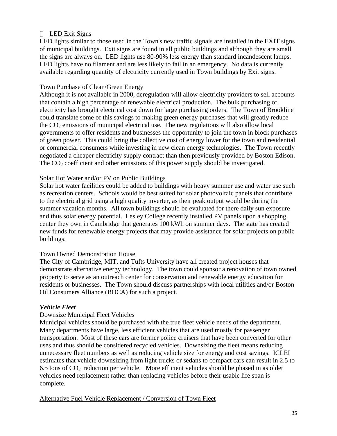### $\Box$  LED Exit Signs

LED lights similar to those used in the Town's new traffic signals are installed in the EXIT signs of municipal buildings. Exit signs are found in all public buildings and although they are small the signs are always on. LED lights use 80-90% less energy than standard incandescent lamps. LED lights have no filament and are less likely to fail in an emergency. No data is currently available regarding quantity of electricity currently used in Town buildings by Exit signs.

#### Town Purchase of Clean/Green Energy

Although it is not available in 2000, deregulation will allow electricity providers to sell accounts that contain a high percentage of renewable electrical production. The bulk purchasing of electricity has brought electrical cost down for large purchasing orders. The Town of Brookline could translate some of this savings to making green energy purchases that will greatly reduce the  $CO<sub>2</sub>$  emissions of municipal electrical use. The new regulations will also allow local governments to offer residents and businesses the opportunity to join the town in block purchases of green power. This could bring the collective cost of energy lower for the town and residential or commercial consumers while investing in new clean energy technologies. The Town recently negotiated a cheaper electricity supply contract than then previously provided by Boston Edison. The  $CO<sub>2</sub>$  coefficient and other emissions of this power supply should be investigated.

#### Solar Hot Water and/or PV on Public Buildings

Solar hot water facilities could be added to buildings with heavy summer use and water use such as recreation centers. Schools would be best suited for solar photovoltaic panels that contribute to the electrical grid using a high quality inverter, as their peak output would be during the summer vacation months. All town buildings should be evaluated for there daily sun exposure and thus solar energy potential. Lesley College recently installed PV panels upon a shopping center they own in Cambridge that generates 100 kWh on summer days. The state has created new funds for renewable energy projects that may provide assistance for solar projects on public buildings.

#### Town Owned Demonstration House

The City of Cambridge, MIT, and Tufts University have all created project houses that demonstrate alternative energy technology. The town could sponsor a renovation of town owned property to serve as an outreach center for conservation and renewable energy education for residents or businesses. The Town should discuss partnerships with local utilities and/or Boston Oil Consumers Alliance (BOCA) for such a project.

#### *Vehicle Fleet*

#### Downsize Municipal Fleet Vehicles

Municipal vehicles should be purchased with the true fleet vehicle needs of the department. Many departments have large, less efficient vehicles that are used mostly for passenger transportation. Most of these cars are former police cruisers that have been converted for other uses and thus should be considered recycled vehicles. Downsizing the fleet means reducing unnecessary fleet numbers as well as reducing vehicle size for energy and cost savings. ICLEI estimates that vehicle downsizing from light trucks or sedans to compact cars can result in 2.5 to 6.5 tons of  $CO<sub>2</sub>$  reduction per vehicle. More efficient vehicles should be phased in as older vehicles need replacement rather than replacing vehicles before their usable life span is complete.

#### Alternative Fuel Vehicle Replacement / Conversion of Town Fleet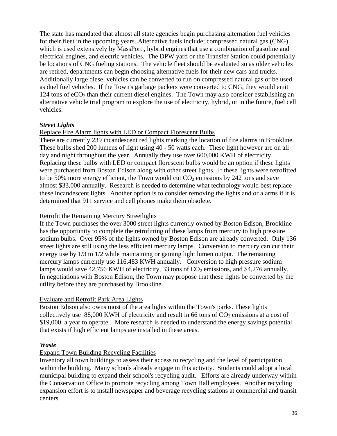The state has mandated that almost all state agencies begin purchasing alternation fuel vehicles for their fleet in the upcoming years. Alternative fuels include; compressed natural gas (CNG) which is used extensively by MassPort , hybrid engines that use a combination of gasoline and electrical engines, and electric vehicles. The DPW yard or the Transfer Station could potentially be locations of CNG fueling stations. The vehicle fleet should be evaluated so as older vehicles are retired, departments can begin choosing alternative fuels for their new cars and trucks. Additionally large diesel vehicles can be converted to run on compressed natural gas or be used as duel fuel vehicles. If the Town's garbage packers were converted to CNG, they would emit 124 tons of  $eCO<sub>2</sub>$  than their current diesel engines. The Town may also consider establishing an alternative vehicle trial program to explore the use of electricity, hybrid, or in the future, fuel cell vehicles.

#### *Street Lights*

#### Replace Fire Alarm lights with LED or Compact Florescent Bulbs

There are currently 239 incandescent red lights marking the location of fire alarms in Brookline. These bulbs shed 200 lumens of light using 40 - 50 watts each. These light however are on all day and night throughout the year. Annually they use over 600,000 KWH of electricity. Replacing these bulbs with LED or compact florescent bulbs would be an option if these lights were purchased from Boston Edison along with other street lights. If these lights were retrofitted to be 50% more energy efficient, the Town would cut  $CO<sub>2</sub>$  emissions by 242 tons and save almost \$33,000 annually. Research is needed to determine what technology would best replace these incandescent lights. Another option is to consider removing the lights and or alarms if it is determined that 911 service and cell phones make them obsolete.

#### Retrofit the Remaining Mercury Streetlights

If the Town purchases the over 3000 street lights currently owned by Boston Edison, Brookline has the opportunity to complete the retrofitting of these lamps from mercury to high pressure sodium bulbs. Over 95% of the lights owned by Boston Edison are already converted. Only 136 street lights are still using the less efficient mercury lamps. Conversion to mercury can cut their energy use by 1/3 to 1/2 while maintaining or gaining light lumen output. The remaining mercury lamps currently use 116,483 KWH annually. Conversion to high pressure sodium lamps would save 42,756 KWH of electricity, 33 tons of  $CO<sub>2</sub>$  emissions, and \$4,276 annually. In negotiations with Boston Edison, the Town may propose that these lights be converted by the utility before they are purchased by Brookline.

### Evaluate and Retrofit Park Area Lights

Boston Edison also owns most of the area lights within the Town's parks. These lights collectively use  $88,000$  KWH of electricity and result in 66 tons of  $CO<sub>2</sub>$  emissions at a cost of \$19,000 a year to operate. More research is needed to understand the energy savings potential that exists if high efficient lamps are installed in these areas.

#### *Waste*

# Expand Town Building Recycling Facilities

Inventory all town buildings to assess their access to recycling and the level of participation within the building. Many schools already engage in this activity. Students could adopt a local municipal building to expand their school's recycling audit. Efforts are already underway within the Conservation Office to promote recycling among Town Hall employees. Another recycling expansion effort is to install newspaper and beverage recycling stations at commercial and transit centers.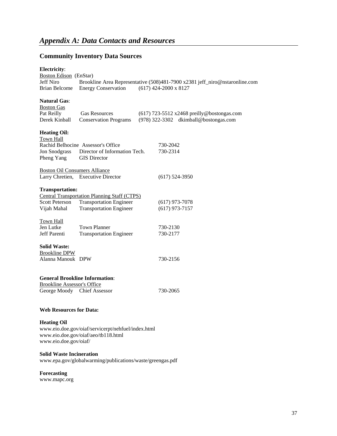# **Community Inventory Data Sources**

#### **Electricity**:

| <b>Boston Edison</b> (EnStar)<br><b>Jeff Niro</b><br>Brian Belcome                                                                       | <b>Energy Conservation</b>                                                                                              |  | $(617)$ 424-2000 x 8127              | Brookline Area Representative (508)481-7900 x2381 jeff_niro@nstaronline.com         |  |  |  |  |
|------------------------------------------------------------------------------------------------------------------------------------------|-------------------------------------------------------------------------------------------------------------------------|--|--------------------------------------|-------------------------------------------------------------------------------------|--|--|--|--|
| <b>Natural Gas:</b><br><b>Boston Gas</b><br>Pat Reilly<br>Derek Kinball                                                                  | <b>Gas Resources</b><br><b>Conservation Programs</b>                                                                    |  |                                      | (617) 723-5512 x2468 preilly@bostongas.com<br>(978) 322-3302 dkimball@bostongas.com |  |  |  |  |
| <b>Heating Oil:</b><br>Town Hall<br>Jon Snodgrass<br>Pheng Yang                                                                          | Rachid Belhocine Assessor's Office<br>Director of Information Tech.<br><b>GIS Director</b>                              |  | 730-2042<br>730-2314                 |                                                                                     |  |  |  |  |
| <b>Boston Oil Consumers Alliance</b>                                                                                                     | Larry Chretien, Executive Director                                                                                      |  | $(617)$ 524-3950                     |                                                                                     |  |  |  |  |
| <b>Transportation:</b><br><b>Scott Peterson</b><br>Vijah Mahal                                                                           | <b>Central Transportation Planning Staff (CTPS)</b><br><b>Transportation Engineer</b><br><b>Transportation Engineer</b> |  | $(617)$ 973-7078<br>$(617)$ 973-7157 |                                                                                     |  |  |  |  |
| Town Hall<br>Jen Lutke<br>Jeff Parenti                                                                                                   | <b>Town Planner</b><br><b>Transportation Engineer</b>                                                                   |  | 730-2130<br>730-2177                 |                                                                                     |  |  |  |  |
| <b>Solid Waste:</b><br><b>Brookline DPW</b><br>Alanna Manouk DPW                                                                         |                                                                                                                         |  | 730-2156                             |                                                                                     |  |  |  |  |
| <b>Brookline Assessor's Office</b><br>George Moody Chief Assessor                                                                        | <b>General Brookline Information:</b>                                                                                   |  | 730-2065                             |                                                                                     |  |  |  |  |
| <b>Web Resources for Data:</b>                                                                                                           |                                                                                                                         |  |                                      |                                                                                     |  |  |  |  |
| <b>Heating Oil</b><br>www.eio.doe.gov/oiaf/servicerpt/nehfuel/index.html<br>www.eio.doe.gov/oiaf/aeo/tb118.html<br>www.eio.doe.gov/oiaf/ |                                                                                                                         |  |                                      |                                                                                     |  |  |  |  |
| <b>Solid Waste Incineration</b>                                                                                                          |                                                                                                                         |  |                                      |                                                                                     |  |  |  |  |

www.epa.gov/globalwarming/publications/waste/greengas.pdf

#### **Forecasting**

www.mapc.org